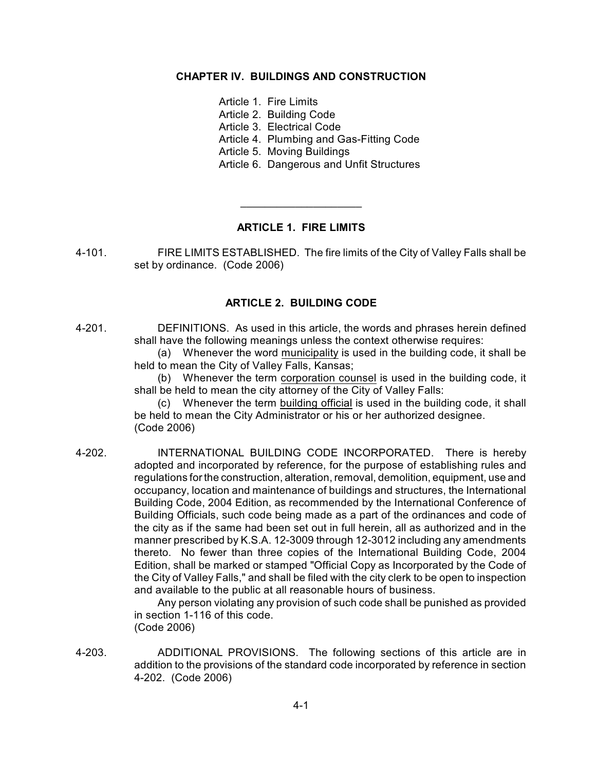# **CHAPTER IV. BUILDINGS AND CONSTRUCTION**

- Article 1. Fire Limits
- Article 2. Building Code
- Article 3. Electrical Code
- Article 4. Plumbing and Gas-Fitting Code
- Article 5. Moving Buildings
- Article 6. Dangerous and Unfit Structures

## **ARTICLE 1. FIRE LIMITS**

 $\overline{\phantom{a}}$  , where  $\overline{\phantom{a}}$  , where  $\overline{\phantom{a}}$  , where  $\overline{\phantom{a}}$ 

4-101. FIRE LIMITS ESTABLISHED. The fire limits of the City of Valley Falls shall be set by ordinance. (Code 2006)

## **ARTICLE 2. BUILDING CODE**

4-201. DEFINITIONS. As used in this article, the words and phrases herein defined shall have the following meanings unless the context otherwise requires:

(a) Whenever the word municipality is used in the building code, it shall be held to mean the City of Valley Falls, Kansas;

(b) Whenever the term corporation counsel is used in the building code, it shall be held to mean the city attorney of the City of Valley Falls:

(c) Whenever the term building official is used in the building code, it shall be held to mean the City Administrator or his or her authorized designee. (Code 2006)

4-202. INTERNATIONAL BUILDING CODE INCORPORATED. There is hereby adopted and incorporated by reference, for the purpose of establishing rules and regulations for the construction, alteration, removal, demolition, equipment, use and occupancy, location and maintenance of buildings and structures, the International Building Code, 2004 Edition, as recommended by the International Conference of Building Officials, such code being made as a part of the ordinances and code of the city as if the same had been set out in full herein, all as authorized and in the manner prescribed by K.S.A. 12-3009 through 12-3012 including any amendments thereto. No fewer than three copies of the International Building Code, 2004 Edition, shall be marked or stamped "Official Copy as Incorporated by the Code of the City of Valley Falls," and shall be filed with the city clerk to be open to inspection and available to the public at all reasonable hours of business.

Any person violating any provision of such code shall be punished as provided in section 1-116 of this code. (Code 2006)

4-203. ADDITIONAL PROVISIONS. The following sections of this article are in addition to the provisions of the standard code incorporated by reference in section 4-202. (Code 2006)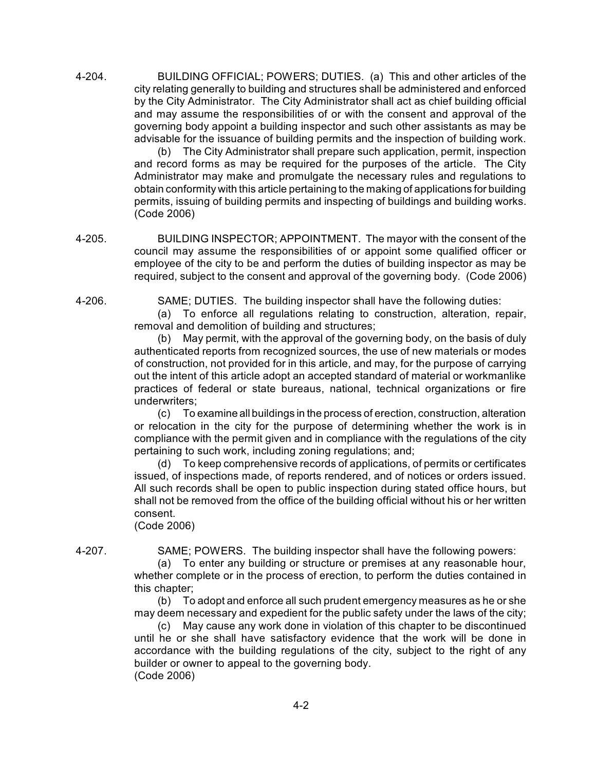4-204. BUILDING OFFICIAL; POWERS; DUTIES. (a) This and other articles of the city relating generally to building and structures shall be administered and enforced by the City Administrator. The City Administrator shall act as chief building official and may assume the responsibilities of or with the consent and approval of the governing body appoint a building inspector and such other assistants as may be advisable for the issuance of building permits and the inspection of building work.

(b) The City Administrator shall prepare such application, permit, inspection and record forms as may be required for the purposes of the article. The City Administrator may make and promulgate the necessary rules and regulations to obtain conformity with this article pertaining to the making of applications for building permits, issuing of building permits and inspecting of buildings and building works. (Code 2006)

4-205. BUILDING INSPECTOR; APPOINTMENT. The mayor with the consent of the council may assume the responsibilities of or appoint some qualified officer or employee of the city to be and perform the duties of building inspector as may be required, subject to the consent and approval of the governing body. (Code 2006)

4-206. SAME; DUTIES. The building inspector shall have the following duties:

(a) To enforce all regulations relating to construction, alteration, repair, removal and demolition of building and structures;

(b) May permit, with the approval of the governing body, on the basis of duly authenticated reports from recognized sources, the use of new materials or modes of construction, not provided for in this article, and may, for the purpose of carrying out the intent of this article adopt an accepted standard of material or workmanlike practices of federal or state bureaus, national, technical organizations or fire underwriters;

(c) To examine all buildings in the process of erection, construction, alteration or relocation in the city for the purpose of determining whether the work is in compliance with the permit given and in compliance with the regulations of the city pertaining to such work, including zoning regulations; and;

(d) To keep comprehensive records of applications, of permits or certificates issued, of inspections made, of reports rendered, and of notices or orders issued. All such records shall be open to public inspection during stated office hours, but shall not be removed from the office of the building official without his or her written consent. (Code 2006)

4-207. SAME; POWERS. The building inspector shall have the following powers:

(a) To enter any building or structure or premises at any reasonable hour, whether complete or in the process of erection, to perform the duties contained in this chapter;

(b) To adopt and enforce all such prudent emergency measures as he or she may deem necessary and expedient for the public safety under the laws of the city;

(c) May cause any work done in violation of this chapter to be discontinued until he or she shall have satisfactory evidence that the work will be done in accordance with the building regulations of the city, subject to the right of any builder or owner to appeal to the governing body. (Code 2006)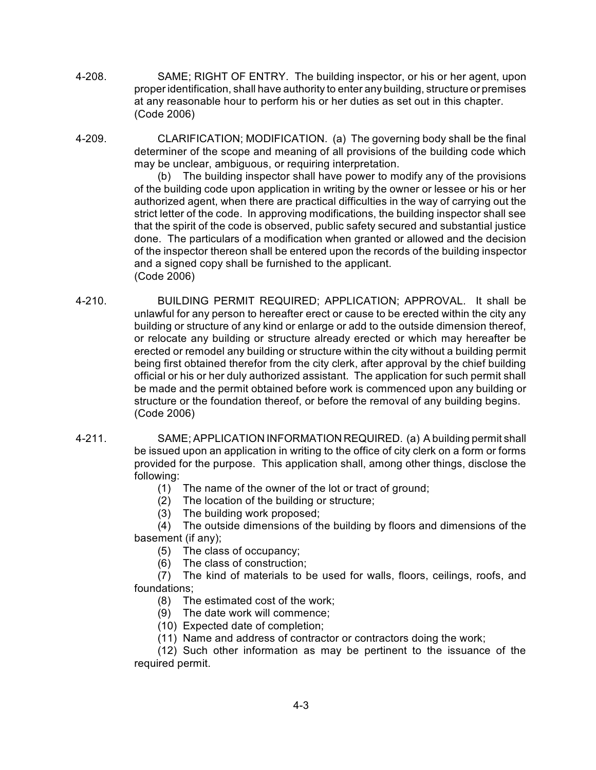- 4-208. SAME; RIGHT OF ENTRY. The building inspector, or his or her agent, upon proper identification, shall have authority to enter any building, structure or premises at any reasonable hour to perform his or her duties as set out in this chapter. (Code 2006)
- 4-209. CLARIFICATION; MODIFICATION. (a) The governing body shall be the final determiner of the scope and meaning of all provisions of the building code which may be unclear, ambiguous, or requiring interpretation.

(b) The building inspector shall have power to modify any of the provisions of the building code upon application in writing by the owner or lessee or his or her authorized agent, when there are practical difficulties in the way of carrying out the strict letter of the code. In approving modifications, the building inspector shall see that the spirit of the code is observed, public safety secured and substantial justice done. The particulars of a modification when granted or allowed and the decision of the inspector thereon shall be entered upon the records of the building inspector and a signed copy shall be furnished to the applicant. (Code 2006)

- 4-210. BUILDING PERMIT REQUIRED; APPLICATION; APPROVAL. It shall be unlawful for any person to hereafter erect or cause to be erected within the city any building or structure of any kind or enlarge or add to the outside dimension thereof, or relocate any building or structure already erected or which may hereafter be erected or remodel any building or structure within the city without a building permit being first obtained therefor from the city clerk, after approval by the chief building official or his or her duly authorized assistant. The application for such permit shall be made and the permit obtained before work is commenced upon any building or structure or the foundation thereof, or before the removal of any building begins. (Code 2006)
- 4-211. SAME; APPLICATION INFORMATION REQUIRED. (a) A building permit shall be issued upon an application in writing to the office of city clerk on a form or forms provided for the purpose. This application shall, among other things, disclose the following:
	- (1) The name of the owner of the lot or tract of ground;
	- (2) The location of the building or structure;
	- (3) The building work proposed;

(4) The outside dimensions of the building by floors and dimensions of the basement (if any);

- (5) The class of occupancy;
- (6) The class of construction;
- (7) The kind of materials to be used for walls, floors, ceilings, roofs, and foundations;
	- (8) The estimated cost of the work;
	- (9) The date work will commence;
	- (10) Expected date of completion;
	- (11) Name and address of contractor or contractors doing the work;

(12) Such other information as may be pertinent to the issuance of the required permit.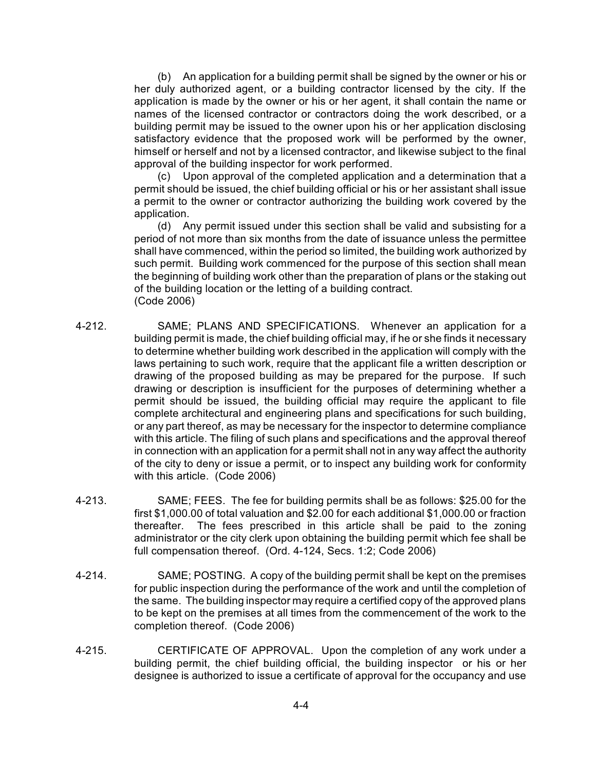(b) An application for a building permit shall be signed by the owner or his or her duly authorized agent, or a building contractor licensed by the city. If the application is made by the owner or his or her agent, it shall contain the name or names of the licensed contractor or contractors doing the work described, or a building permit may be issued to the owner upon his or her application disclosing satisfactory evidence that the proposed work will be performed by the owner, himself or herself and not by a licensed contractor, and likewise subject to the final approval of the building inspector for work performed.

(c) Upon approval of the completed application and a determination that a permit should be issued, the chief building official or his or her assistant shall issue a permit to the owner or contractor authorizing the building work covered by the application.

(d) Any permit issued under this section shall be valid and subsisting for a period of not more than six months from the date of issuance unless the permittee shall have commenced, within the period so limited, the building work authorized by such permit. Building work commenced for the purpose of this section shall mean the beginning of building work other than the preparation of plans or the staking out of the building location or the letting of a building contract. (Code 2006)

- 4-212. SAME; PLANS AND SPECIFICATIONS. Whenever an application for a building permit is made, the chief building official may, if he or she finds it necessary to determine whether building work described in the application will comply with the laws pertaining to such work, require that the applicant file a written description or drawing of the proposed building as may be prepared for the purpose. If such drawing or description is insufficient for the purposes of determining whether a permit should be issued, the building official may require the applicant to file complete architectural and engineering plans and specifications for such building, or any part thereof, as may be necessary for the inspector to determine compliance with this article. The filing of such plans and specifications and the approval thereof in connection with an application for a permit shall not in any way affect the authority of the city to deny or issue a permit, or to inspect any building work for conformity with this article. (Code 2006)
- 4-213. SAME; FEES. The fee for building permits shall be as follows: \$25.00 for the first \$1,000.00 of total valuation and \$2.00 for each additional \$1,000.00 or fraction thereafter. The fees prescribed in this article shall be paid to the zoning administrator or the city clerk upon obtaining the building permit which fee shall be full compensation thereof. (Ord. 4-124, Secs. 1:2; Code 2006)
- 4-214. SAME; POSTING. A copy of the building permit shall be kept on the premises for public inspection during the performance of the work and until the completion of the same. The building inspector may require a certified copy of the approved plans to be kept on the premises at all times from the commencement of the work to the completion thereof. (Code 2006)
- 4-215. CERTIFICATE OF APPROVAL. Upon the completion of any work under a building permit, the chief building official, the building inspector or his or her designee is authorized to issue a certificate of approval for the occupancy and use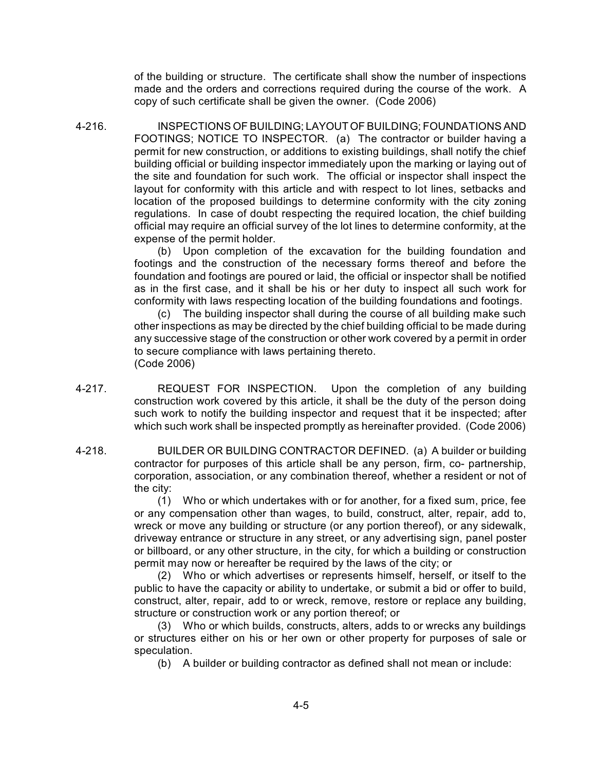of the building or structure. The certificate shall show the number of inspections made and the orders and corrections required during the course of the work. A copy of such certificate shall be given the owner. (Code 2006)

4-216. INSPECTIONS OF BUILDING; LAYOUT OF BUILDING; FOUNDATIONS AND FOOTINGS; NOTICE TO INSPECTOR. (a) The contractor or builder having a permit for new construction, or additions to existing buildings, shall notify the chief building official or building inspector immediately upon the marking or laying out of the site and foundation for such work. The official or inspector shall inspect the layout for conformity with this article and with respect to lot lines, setbacks and location of the proposed buildings to determine conformity with the city zoning regulations. In case of doubt respecting the required location, the chief building official may require an official survey of the lot lines to determine conformity, at the expense of the permit holder.

> (b) Upon completion of the excavation for the building foundation and footings and the construction of the necessary forms thereof and before the foundation and footings are poured or laid, the official or inspector shall be notified as in the first case, and it shall be his or her duty to inspect all such work for conformity with laws respecting location of the building foundations and footings.

> (c) The building inspector shall during the course of all building make such other inspections as may be directed by the chief building official to be made during any successive stage of the construction or other work covered by a permit in order to secure compliance with laws pertaining thereto. (Code 2006)

- 4-217. REQUEST FOR INSPECTION. Upon the completion of any building construction work covered by this article, it shall be the duty of the person doing such work to notify the building inspector and request that it be inspected; after which such work shall be inspected promptly as hereinafter provided. (Code 2006)
- 4-218. BUILDER OR BUILDING CONTRACTOR DEFINED. (a) A builder or building contractor for purposes of this article shall be any person, firm, co- partnership, corporation, association, or any combination thereof, whether a resident or not of the city:

(1) Who or which undertakes with or for another, for a fixed sum, price, fee or any compensation other than wages, to build, construct, alter, repair, add to, wreck or move any building or structure (or any portion thereof), or any sidewalk, driveway entrance or structure in any street, or any advertising sign, panel poster or billboard, or any other structure, in the city, for which a building or construction permit may now or hereafter be required by the laws of the city; or

(2) Who or which advertises or represents himself, herself, or itself to the public to have the capacity or ability to undertake, or submit a bid or offer to build, construct, alter, repair, add to or wreck, remove, restore or replace any building, structure or construction work or any portion thereof; or

(3) Who or which builds, constructs, alters, adds to or wrecks any buildings or structures either on his or her own or other property for purposes of sale or speculation.

(b) A builder or building contractor as defined shall not mean or include: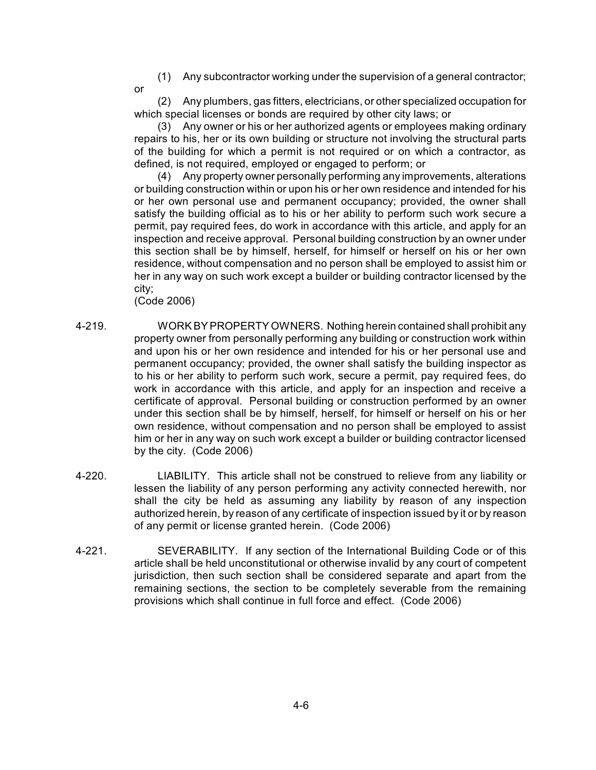(1) Any subcontractor working under the supervision of a general contractor;

or

(2) Any plumbers, gas fitters, electricians, or other specialized occupation for which special licenses or bonds are required by other city laws; or

(3) Any owner or his or her authorized agents or employees making ordinary repairs to his, her or its own building or structure not involving the structural parts of the building for which a permit is not required or on which a contractor, as defined, is not required, employed or engaged to perform; or

(4) Any property owner personally performing any improvements, alterations or building construction within or upon his or her own residence and intended for his or her own personal use and permanent occupancy; provided, the owner shall satisfy the building official as to his or her ability to perform such work secure a permit, pay required fees, do work in accordance with this article, and apply for an inspection and receive approval. Personal building construction by an owner under this section shall be by himself, herself, for himself or herself on his or her own residence, without compensation and no person shall be employed to assist him or her in any way on such work except a builder or building contractor licensed by the city;

(Code 2006)

- 4-219. WORK BY PROPERTY OWNERS. Nothing herein contained shall prohibit any property owner from personally performing any building or construction work within and upon his or her own residence and intended for his or her personal use and permanent occupancy; provided, the owner shall satisfy the building inspector as to his or her ability to perform such work, secure a permit, pay required fees, do work in accordance with this article, and apply for an inspection and receive a certificate of approval. Personal building or construction performed by an owner under this section shall be by himself, herself, for himself or herself on his or her own residence, without compensation and no person shall be employed to assist him or her in any way on such work except a builder or building contractor licensed by the city. (Code 2006)
- 4-220. LIABILITY. This article shall not be construed to relieve from any liability or lessen the liability of any person performing any activity connected herewith, nor shall the city be held as assuming any liability by reason of any inspection authorized herein, by reason of any certificate of inspection issued by it or by reason of any permit or license granted herein. (Code 2006)
- 4-221. SEVERABILITY. If any section of the International Building Code or of this article shall be held unconstitutional or otherwise invalid by any court of competent jurisdiction, then such section shall be considered separate and apart from the remaining sections, the section to be completely severable from the remaining provisions which shall continue in full force and effect. (Code 2006)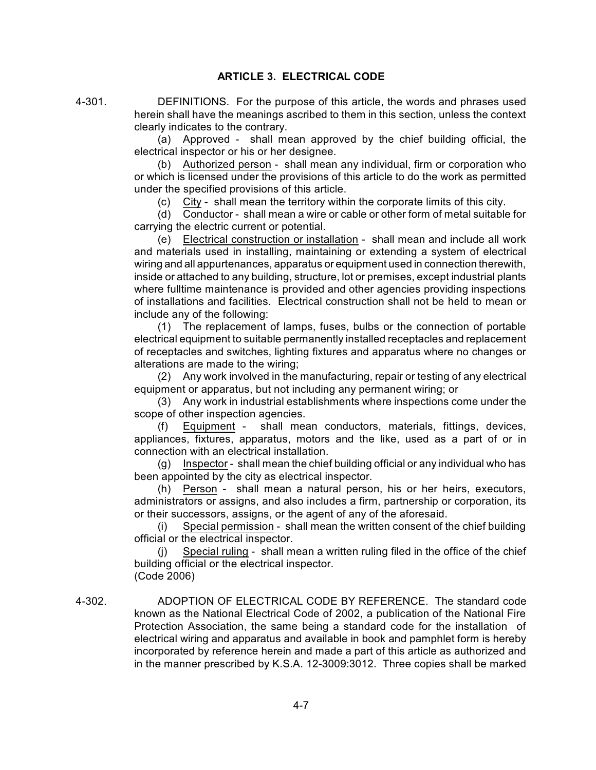# **ARTICLE 3. ELECTRICAL CODE**

4-301. DEFINITIONS. For the purpose of this article, the words and phrases used herein shall have the meanings ascribed to them in this section, unless the context clearly indicates to the contrary.

> (a) Approved - shall mean approved by the chief building official, the electrical inspector or his or her designee.

> (b) Authorized person - shall mean any individual, firm or corporation who or which is licensed under the provisions of this article to do the work as permitted under the specified provisions of this article.

(c) City - shall mean the territory within the corporate limits of this city.

(d) Conductor - shall mean a wire or cable or other form of metal suitable for carrying the electric current or potential.

(e) Electrical construction or installation - shall mean and include all work and materials used in installing, maintaining or extending a system of electrical wiring and all appurtenances, apparatus or equipment used in connection therewith, inside or attached to any building, structure, lot or premises, except industrial plants where fulltime maintenance is provided and other agencies providing inspections of installations and facilities. Electrical construction shall not be held to mean or include any of the following:

(1) The replacement of lamps, fuses, bulbs or the connection of portable electrical equipment to suitable permanently installed receptacles and replacement of receptacles and switches, lighting fixtures and apparatus where no changes or alterations are made to the wiring;

(2) Any work involved in the manufacturing, repair or testing of any electrical equipment or apparatus, but not including any permanent wiring; or

(3) Any work in industrial establishments where inspections come under the scope of other inspection agencies.

(f) Equipment - shall mean conductors, materials, fittings, devices, appliances, fixtures, apparatus, motors and the like, used as a part of or in connection with an electrical installation.

(g) Inspector - shall mean the chief building official or any individual who has been appointed by the city as electrical inspector.

(h) Person - shall mean a natural person, his or her heirs, executors, administrators or assigns, and also includes a firm, partnership or corporation, its or their successors, assigns, or the agent of any of the aforesaid.

(i) Special permission - shall mean the written consent of the chief building official or the electrical inspector.

(j) Special ruling - shall mean a written ruling filed in the office of the chief building official or the electrical inspector. (Code 2006)

4-302. ADOPTION OF ELECTRICAL CODE BY REFERENCE. The standard code known as the National Electrical Code of 2002, a publication of the National Fire Protection Association, the same being a standard code for the installation of electrical wiring and apparatus and available in book and pamphlet form is hereby incorporated by reference herein and made a part of this article as authorized and in the manner prescribed by K.S.A. 12-3009:3012. Three copies shall be marked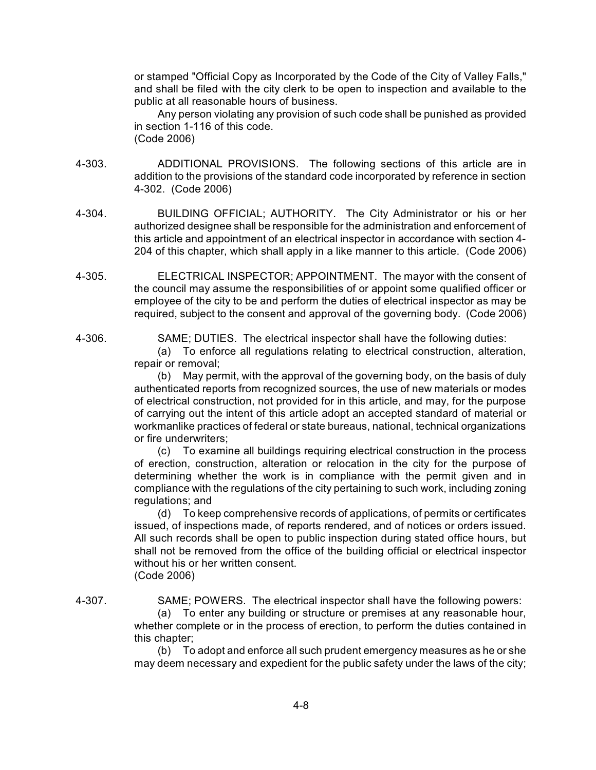or stamped "Official Copy as Incorporated by the Code of the City of Valley Falls," and shall be filed with the city clerk to be open to inspection and available to the public at all reasonable hours of business.

Any person violating any provision of such code shall be punished as provided in section 1-116 of this code.

- (Code 2006)
- 4-303. ADDITIONAL PROVISIONS. The following sections of this article are in addition to the provisions of the standard code incorporated by reference in section 4-302. (Code 2006)
- 4-304. BUILDING OFFICIAL; AUTHORITY. The City Administrator or his or her authorized designee shall be responsible for the administration and enforcement of this article and appointment of an electrical inspector in accordance with section 4- 204 of this chapter, which shall apply in a like manner to this article. (Code 2006)
- 4-305. ELECTRICAL INSPECTOR; APPOINTMENT. The mayor with the consent of the council may assume the responsibilities of or appoint some qualified officer or employee of the city to be and perform the duties of electrical inspector as may be required, subject to the consent and approval of the governing body. (Code 2006)

4-306. SAME; DUTIES. The electrical inspector shall have the following duties:

(a) To enforce all regulations relating to electrical construction, alteration, repair or removal;

(b) May permit, with the approval of the governing body, on the basis of duly authenticated reports from recognized sources, the use of new materials or modes of electrical construction, not provided for in this article, and may, for the purpose of carrying out the intent of this article adopt an accepted standard of material or workmanlike practices of federal or state bureaus, national, technical organizations or fire underwriters;

(c) To examine all buildings requiring electrical construction in the process of erection, construction, alteration or relocation in the city for the purpose of determining whether the work is in compliance with the permit given and in compliance with the regulations of the city pertaining to such work, including zoning regulations; and

(d) To keep comprehensive records of applications, of permits or certificates issued, of inspections made, of reports rendered, and of notices or orders issued. All such records shall be open to public inspection during stated office hours, but shall not be removed from the office of the building official or electrical inspector without his or her written consent. (Code 2006)

4-307. SAME; POWERS. The electrical inspector shall have the following powers:

(a) To enter any building or structure or premises at any reasonable hour, whether complete or in the process of erection, to perform the duties contained in this chapter;

(b) To adopt and enforce all such prudent emergency measures as he or she may deem necessary and expedient for the public safety under the laws of the city;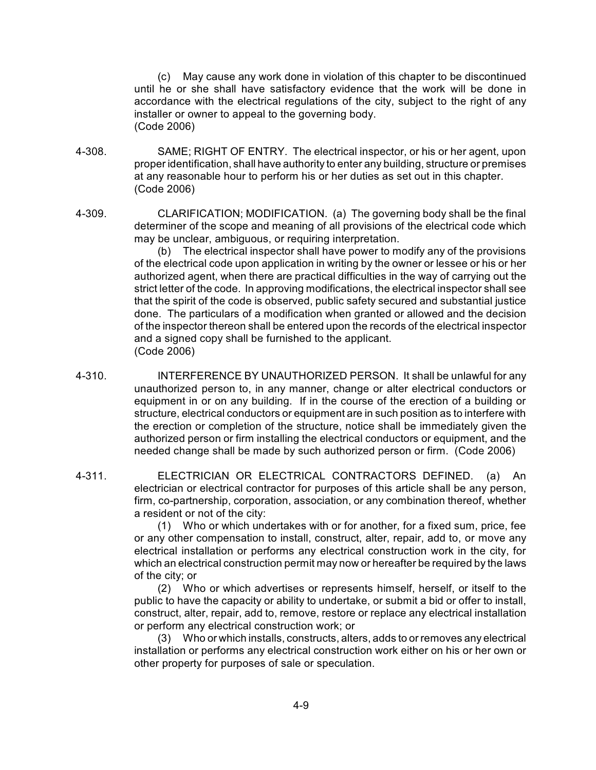(c) May cause any work done in violation of this chapter to be discontinued until he or she shall have satisfactory evidence that the work will be done in accordance with the electrical regulations of the city, subject to the right of any installer or owner to appeal to the governing body. (Code 2006)

- 4-308. SAME; RIGHT OF ENTRY. The electrical inspector, or his or her agent, upon proper identification, shall have authority to enter any building, structure or premises at any reasonable hour to perform his or her duties as set out in this chapter. (Code 2006)
- 4-309. CLARIFICATION; MODIFICATION. (a) The governing body shall be the final determiner of the scope and meaning of all provisions of the electrical code which may be unclear, ambiguous, or requiring interpretation.

(b) The electrical inspector shall have power to modify any of the provisions of the electrical code upon application in writing by the owner or lessee or his or her authorized agent, when there are practical difficulties in the way of carrying out the strict letter of the code. In approving modifications, the electrical inspector shall see that the spirit of the code is observed, public safety secured and substantial justice done. The particulars of a modification when granted or allowed and the decision of the inspector thereon shall be entered upon the records of the electrical inspector and a signed copy shall be furnished to the applicant. (Code 2006)

- 4-310. INTERFERENCE BY UNAUTHORIZED PERSON. It shall be unlawful for any unauthorized person to, in any manner, change or alter electrical conductors or equipment in or on any building. If in the course of the erection of a building or structure, electrical conductors or equipment are in such position as to interfere with the erection or completion of the structure, notice shall be immediately given the authorized person or firm installing the electrical conductors or equipment, and the needed change shall be made by such authorized person or firm. (Code 2006)
- 4-311. ELECTRICIAN OR ELECTRICAL CONTRACTORS DEFINED. (a) An electrician or electrical contractor for purposes of this article shall be any person, firm, co-partnership, corporation, association, or any combination thereof, whether a resident or not of the city:

(1) Who or which undertakes with or for another, for a fixed sum, price, fee or any other compensation to install, construct, alter, repair, add to, or move any electrical installation or performs any electrical construction work in the city, for which an electrical construction permit may now or hereafter be required by the laws of the city; or

(2) Who or which advertises or represents himself, herself, or itself to the public to have the capacity or ability to undertake, or submit a bid or offer to install, construct, alter, repair, add to, remove, restore or replace any electrical installation or perform any electrical construction work; or

(3) Who or which installs, constructs, alters, adds to or removes any electrical installation or performs any electrical construction work either on his or her own or other property for purposes of sale or speculation.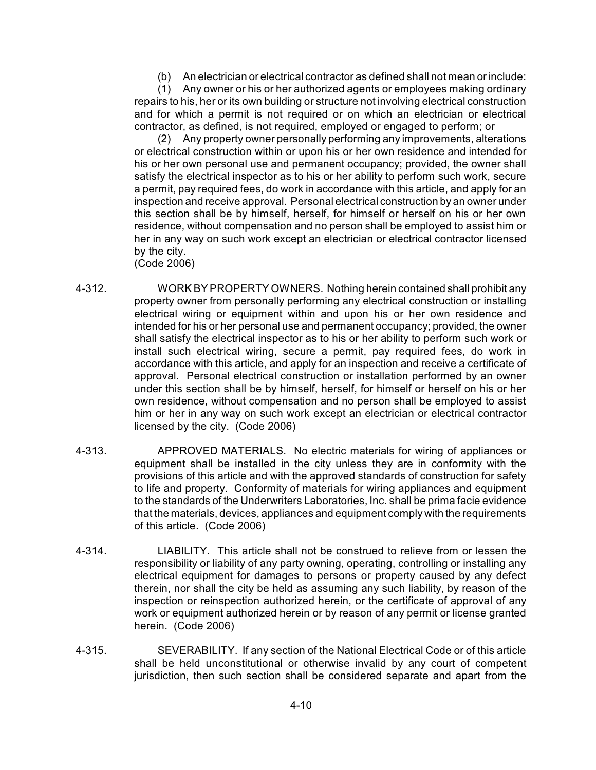(b) An electrician or electrical contractor as defined shall not mean or include:

(1) Any owner or his or her authorized agents or employees making ordinary repairs to his, her or its own building or structure not involving electrical construction and for which a permit is not required or on which an electrician or electrical contractor, as defined, is not required, employed or engaged to perform; or

(2) Any property owner personally performing any improvements, alterations or electrical construction within or upon his or her own residence and intended for his or her own personal use and permanent occupancy; provided, the owner shall satisfy the electrical inspector as to his or her ability to perform such work, secure a permit, pay required fees, do work in accordance with this article, and apply for an inspection and receive approval. Personal electrical construction by an owner under this section shall be by himself, herself, for himself or herself on his or her own residence, without compensation and no person shall be employed to assist him or her in any way on such work except an electrician or electrical contractor licensed by the city.

(Code 2006)

- 4-312. WORK BY PROPERTY OWNERS. Nothing herein contained shall prohibit any property owner from personally performing any electrical construction or installing electrical wiring or equipment within and upon his or her own residence and intended for his or her personal use and permanent occupancy; provided, the owner shall satisfy the electrical inspector as to his or her ability to perform such work or install such electrical wiring, secure a permit, pay required fees, do work in accordance with this article, and apply for an inspection and receive a certificate of approval. Personal electrical construction or installation performed by an owner under this section shall be by himself, herself, for himself or herself on his or her own residence, without compensation and no person shall be employed to assist him or her in any way on such work except an electrician or electrical contractor licensed by the city. (Code 2006)
- 4-313. APPROVED MATERIALS. No electric materials for wiring of appliances or equipment shall be installed in the city unless they are in conformity with the provisions of this article and with the approved standards of construction for safety to life and property. Conformity of materials for wiring appliances and equipment to the standards of the Underwriters Laboratories, Inc. shall be prima facie evidence that the materials, devices, appliances and equipment comply with the requirements of this article. (Code 2006)
- 4-314. LIABILITY. This article shall not be construed to relieve from or lessen the responsibility or liability of any party owning, operating, controlling or installing any electrical equipment for damages to persons or property caused by any defect therein, nor shall the city be held as assuming any such liability, by reason of the inspection or reinspection authorized herein, or the certificate of approval of any work or equipment authorized herein or by reason of any permit or license granted herein. (Code 2006)
- 4-315. SEVERABILITY. If any section of the National Electrical Code or of this article shall be held unconstitutional or otherwise invalid by any court of competent jurisdiction, then such section shall be considered separate and apart from the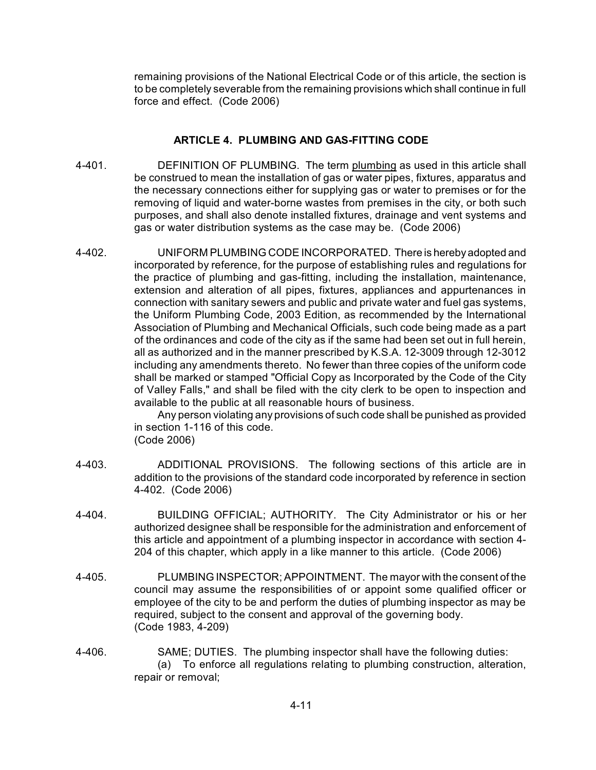remaining provisions of the National Electrical Code or of this article, the section is to be completely severable from the remaining provisions which shall continue in full force and effect. (Code 2006)

# **ARTICLE 4. PLUMBING AND GAS-FITTING CODE**

- 4-401. DEFINITION OF PLUMBING. The term plumbing as used in this article shall be construed to mean the installation of gas or water pipes, fixtures, apparatus and the necessary connections either for supplying gas or water to premises or for the removing of liquid and water-borne wastes from premises in the city, or both such purposes, and shall also denote installed fixtures, drainage and vent systems and gas or water distribution systems as the case may be. (Code 2006)
- 4-402. UNIFORM PLUMBING CODEINCORPORATED. There is hereby adopted and incorporated by reference, for the purpose of establishing rules and regulations for the practice of plumbing and gas-fitting, including the installation, maintenance, extension and alteration of all pipes, fixtures, appliances and appurtenances in connection with sanitary sewers and public and private water and fuel gas systems, the Uniform Plumbing Code, 2003 Edition, as recommended by the International Association of Plumbing and Mechanical Officials, such code being made as a part of the ordinances and code of the city as if the same had been set out in full herein, all as authorized and in the manner prescribed by K.S.A. 12-3009 through 12-3012 including any amendments thereto. No fewer than three copies of the uniform code shall be marked or stamped "Official Copy as Incorporated by the Code of the City of Valley Falls," and shall be filed with the city clerk to be open to inspection and available to the public at all reasonable hours of business.

Any person violating any provisions of such code shall be punished as provided in section 1-116 of this code.

- (Code 2006)
- 4-403. ADDITIONAL PROVISIONS. The following sections of this article are in addition to the provisions of the standard code incorporated by reference in section 4-402. (Code 2006)
- 4-404. BUILDING OFFICIAL; AUTHORITY. The City Administrator or his or her authorized designee shall be responsible for the administration and enforcement of this article and appointment of a plumbing inspector in accordance with section 4- 204 of this chapter, which apply in a like manner to this article. (Code 2006)
- 4-405. PLUMBING INSPECTOR; APPOINTMENT. The mayor with the consent of the council may assume the responsibilities of or appoint some qualified officer or employee of the city to be and perform the duties of plumbing inspector as may be required, subject to the consent and approval of the governing body. (Code 1983, 4-209)
- 4-406. SAME; DUTIES. The plumbing inspector shall have the following duties: (a) To enforce all regulations relating to plumbing construction, alteration, repair or removal;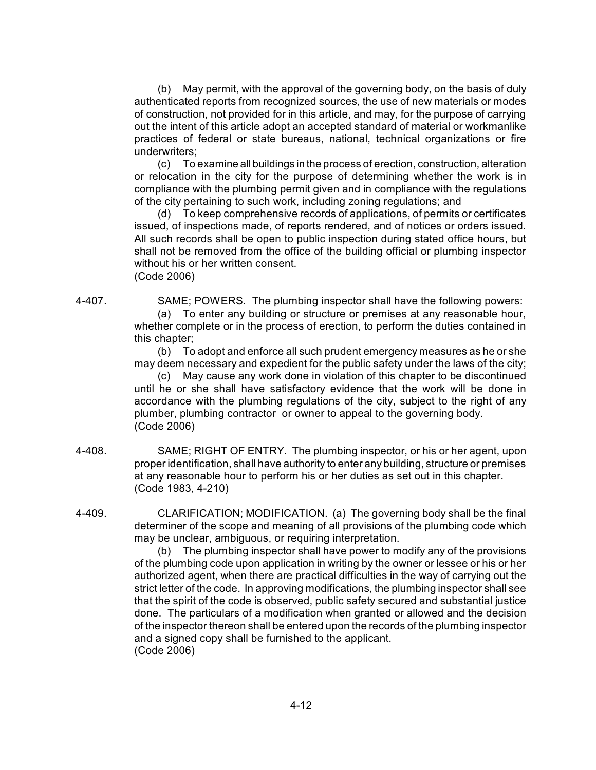(b) May permit, with the approval of the governing body, on the basis of duly authenticated reports from recognized sources, the use of new materials or modes of construction, not provided for in this article, and may, for the purpose of carrying out the intent of this article adopt an accepted standard of material or workmanlike practices of federal or state bureaus, national, technical organizations or fire underwriters;

(c) To examine all buildings in the process of erection, construction, alteration or relocation in the city for the purpose of determining whether the work is in compliance with the plumbing permit given and in compliance with the regulations of the city pertaining to such work, including zoning regulations; and

(d) To keep comprehensive records of applications, of permits or certificates issued, of inspections made, of reports rendered, and of notices or orders issued. All such records shall be open to public inspection during stated office hours, but shall not be removed from the office of the building official or plumbing inspector without his or her written consent. (Code 2006)

4-407. SAME; POWERS. The plumbing inspector shall have the following powers:

(a) To enter any building or structure or premises at any reasonable hour, whether complete or in the process of erection, to perform the duties contained in this chapter;

(b) To adopt and enforce all such prudent emergency measures as he or she may deem necessary and expedient for the public safety under the laws of the city;

(c) May cause any work done in violation of this chapter to be discontinued until he or she shall have satisfactory evidence that the work will be done in accordance with the plumbing regulations of the city, subject to the right of any plumber, plumbing contractor or owner to appeal to the governing body. (Code 2006)

- 4-408. SAME; RIGHT OF ENTRY. The plumbing inspector, or his or her agent, upon proper identification, shall have authority to enter any building, structure or premises at any reasonable hour to perform his or her duties as set out in this chapter. (Code 1983, 4-210)
- 4-409. CLARIFICATION; MODIFICATION. (a) The governing body shall be the final determiner of the scope and meaning of all provisions of the plumbing code which may be unclear, ambiguous, or requiring interpretation.

(b) The plumbing inspector shall have power to modify any of the provisions of the plumbing code upon application in writing by the owner or lessee or his or her authorized agent, when there are practical difficulties in the way of carrying out the strict letter of the code. In approving modifications, the plumbing inspector shall see that the spirit of the code is observed, public safety secured and substantial justice done. The particulars of a modification when granted or allowed and the decision of the inspector thereon shall be entered upon the records of the plumbing inspector and a signed copy shall be furnished to the applicant. (Code 2006)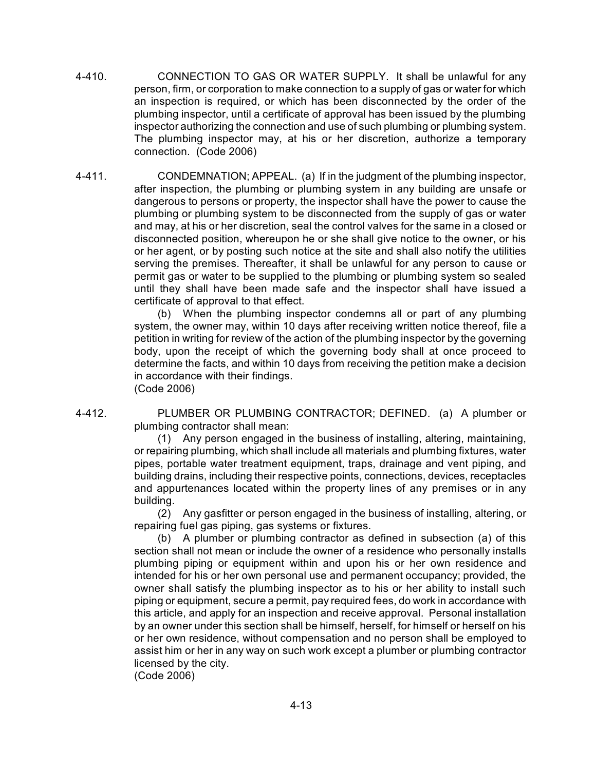- 4-410. CONNECTION TO GAS OR WATER SUPPLY. It shall be unlawful for any person, firm, or corporation to make connection to a supply of gas or water for which an inspection is required, or which has been disconnected by the order of the plumbing inspector, until a certificate of approval has been issued by the plumbing inspector authorizing the connection and use of such plumbing or plumbing system. The plumbing inspector may, at his or her discretion, authorize a temporary connection. (Code 2006)
- 4-411. CONDEMNATION; APPEAL. (a) If in the judgment of the plumbing inspector, after inspection, the plumbing or plumbing system in any building are unsafe or dangerous to persons or property, the inspector shall have the power to cause the plumbing or plumbing system to be disconnected from the supply of gas or water and may, at his or her discretion, seal the control valves for the same in a closed or disconnected position, whereupon he or she shall give notice to the owner, or his or her agent, or by posting such notice at the site and shall also notify the utilities serving the premises. Thereafter, it shall be unlawful for any person to cause or permit gas or water to be supplied to the plumbing or plumbing system so sealed until they shall have been made safe and the inspector shall have issued a certificate of approval to that effect.

(b) When the plumbing inspector condemns all or part of any plumbing system, the owner may, within 10 days after receiving written notice thereof, file a petition in writing for review of the action of the plumbing inspector by the governing body, upon the receipt of which the governing body shall at once proceed to determine the facts, and within 10 days from receiving the petition make a decision in accordance with their findings. (Code 2006)

4-412. PLUMBER OR PLUMBING CONTRACTOR; DEFINED. (a) A plumber or plumbing contractor shall mean:

> (1) Any person engaged in the business of installing, altering, maintaining, or repairing plumbing, which shall include all materials and plumbing fixtures, water pipes, portable water treatment equipment, traps, drainage and vent piping, and building drains, including their respective points, connections, devices, receptacles and appurtenances located within the property lines of any premises or in any building.

> (2) Any gasfitter or person engaged in the business of installing, altering, or repairing fuel gas piping, gas systems or fixtures.

> (b) A plumber or plumbing contractor as defined in subsection (a) of this section shall not mean or include the owner of a residence who personally installs plumbing piping or equipment within and upon his or her own residence and intended for his or her own personal use and permanent occupancy; provided, the owner shall satisfy the plumbing inspector as to his or her ability to install such piping or equipment, secure a permit, pay required fees, do work in accordance with this article, and apply for an inspection and receive approval. Personal installation by an owner under this section shall be himself, herself, for himself or herself on his or her own residence, without compensation and no person shall be employed to assist him or her in any way on such work except a plumber or plumbing contractor licensed by the city.

(Code 2006)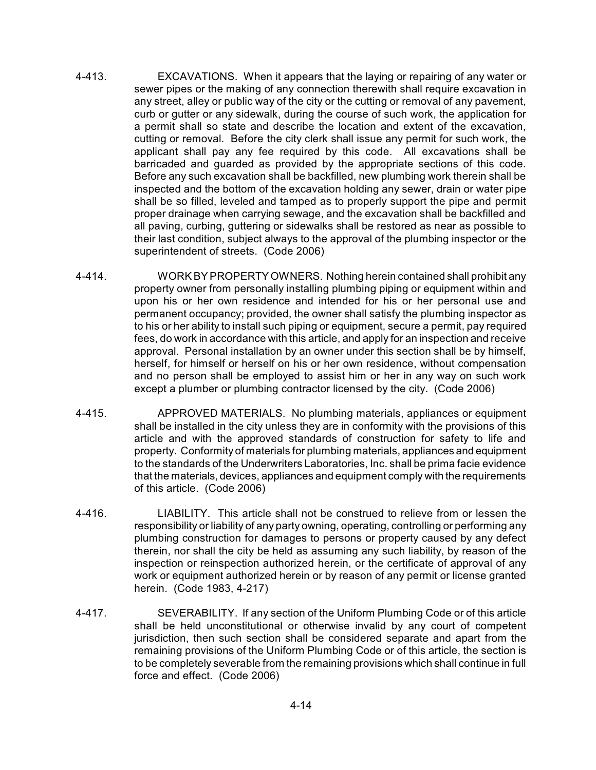- 4-413. EXCAVATIONS. When it appears that the laying or repairing of any water or sewer pipes or the making of any connection therewith shall require excavation in any street, alley or public way of the city or the cutting or removal of any pavement, curb or gutter or any sidewalk, during the course of such work, the application for a permit shall so state and describe the location and extent of the excavation, cutting or removal. Before the city clerk shall issue any permit for such work, the applicant shall pay any fee required by this code. All excavations shall be barricaded and guarded as provided by the appropriate sections of this code. Before any such excavation shall be backfilled, new plumbing work therein shall be inspected and the bottom of the excavation holding any sewer, drain or water pipe shall be so filled, leveled and tamped as to properly support the pipe and permit proper drainage when carrying sewage, and the excavation shall be backfilled and all paving, curbing, guttering or sidewalks shall be restored as near as possible to their last condition, subject always to the approval of the plumbing inspector or the superintendent of streets. (Code 2006)
- 4-414. WORK BY PROPERTYOWNERS. Nothing herein contained shall prohibit any property owner from personally installing plumbing piping or equipment within and upon his or her own residence and intended for his or her personal use and permanent occupancy; provided, the owner shall satisfy the plumbing inspector as to his or her ability to install such piping or equipment, secure a permit, pay required fees, do work in accordance with this article, and apply for an inspection and receive approval. Personal installation by an owner under this section shall be by himself, herself, for himself or herself on his or her own residence, without compensation and no person shall be employed to assist him or her in any way on such work except a plumber or plumbing contractor licensed by the city. (Code 2006)
- 4-415. APPROVED MATERIALS. No plumbing materials, appliances or equipment shall be installed in the city unless they are in conformity with the provisions of this article and with the approved standards of construction for safety to life and property. Conformity of materials for plumbing materials, appliances and equipment to the standards of the Underwriters Laboratories, Inc. shall be prima facie evidence that the materials, devices, appliances and equipment comply with the requirements of this article. (Code 2006)
- 4-416. LIABILITY. This article shall not be construed to relieve from or lessen the responsibility or liability of any party owning, operating, controlling or performing any plumbing construction for damages to persons or property caused by any defect therein, nor shall the city be held as assuming any such liability, by reason of the inspection or reinspection authorized herein, or the certificate of approval of any work or equipment authorized herein or by reason of any permit or license granted herein. (Code 1983, 4-217)
- 4-417. SEVERABILITY. If any section of the Uniform Plumbing Code or of this article shall be held unconstitutional or otherwise invalid by any court of competent jurisdiction, then such section shall be considered separate and apart from the remaining provisions of the Uniform Plumbing Code or of this article, the section is to be completely severable from the remaining provisions which shall continue in full force and effect. (Code 2006)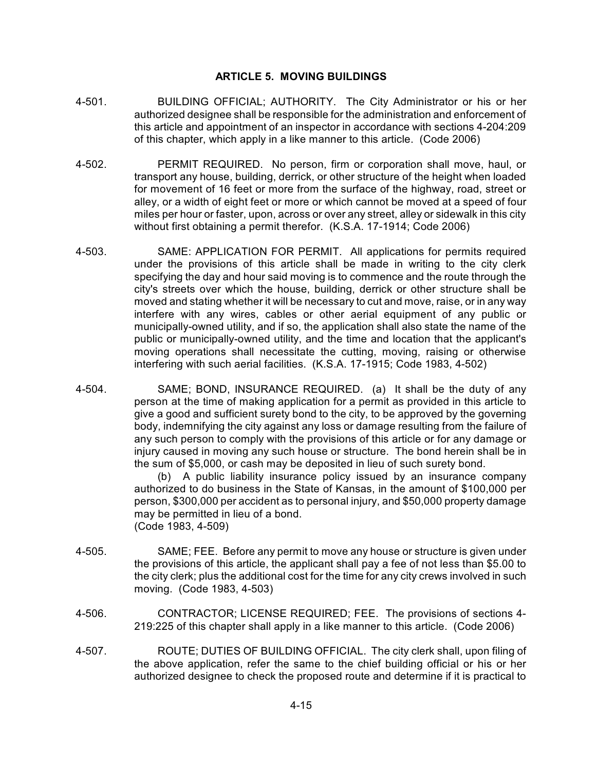# **ARTICLE 5. MOVING BUILDINGS**

- 4-501. BUILDING OFFICIAL; AUTHORITY. The City Administrator or his or her authorized designee shall be responsible for the administration and enforcement of this article and appointment of an inspector in accordance with sections 4-204:209 of this chapter, which apply in a like manner to this article. (Code 2006)
- 4-502. PERMIT REQUIRED. No person, firm or corporation shall move, haul, or transport any house, building, derrick, or other structure of the height when loaded for movement of 16 feet or more from the surface of the highway, road, street or alley, or a width of eight feet or more or which cannot be moved at a speed of four miles per hour or faster, upon, across or over any street, alley or sidewalk in this city without first obtaining a permit therefor. (K.S.A. 17-1914; Code 2006)
- 4-503. SAME: APPLICATION FOR PERMIT. All applications for permits required under the provisions of this article shall be made in writing to the city clerk specifying the day and hour said moving is to commence and the route through the city's streets over which the house, building, derrick or other structure shall be moved and stating whether it will be necessary to cut and move, raise, or in any way interfere with any wires, cables or other aerial equipment of any public or municipally-owned utility, and if so, the application shall also state the name of the public or municipally-owned utility, and the time and location that the applicant's moving operations shall necessitate the cutting, moving, raising or otherwise interfering with such aerial facilities. (K.S.A. 17-1915; Code 1983, 4-502)
- 4-504. SAME; BOND, INSURANCE REQUIRED. (a) It shall be the duty of any person at the time of making application for a permit as provided in this article to give a good and sufficient surety bond to the city, to be approved by the governing body, indemnifying the city against any loss or damage resulting from the failure of any such person to comply with the provisions of this article or for any damage or injury caused in moving any such house or structure. The bond herein shall be in the sum of \$5,000, or cash may be deposited in lieu of such surety bond.

(b) A public liability insurance policy issued by an insurance company authorized to do business in the State of Kansas, in the amount of \$100,000 per person, \$300,000 per accident as to personal injury, and \$50,000 property damage may be permitted in lieu of a bond. (Code 1983, 4-509)

- 4-505. SAME; FEE. Before any permit to move any house or structure is given under the provisions of this article, the applicant shall pay a fee of not less than \$5.00 to the city clerk; plus the additional cost for the time for any city crews involved in such moving. (Code 1983, 4-503)
- 4-506. CONTRACTOR; LICENSE REQUIRED; FEE. The provisions of sections 4- 219:225 of this chapter shall apply in a like manner to this article. (Code 2006)
- 4-507. ROUTE; DUTIES OF BUILDING OFFICIAL. The city clerk shall, upon filing of the above application, refer the same to the chief building official or his or her authorized designee to check the proposed route and determine if it is practical to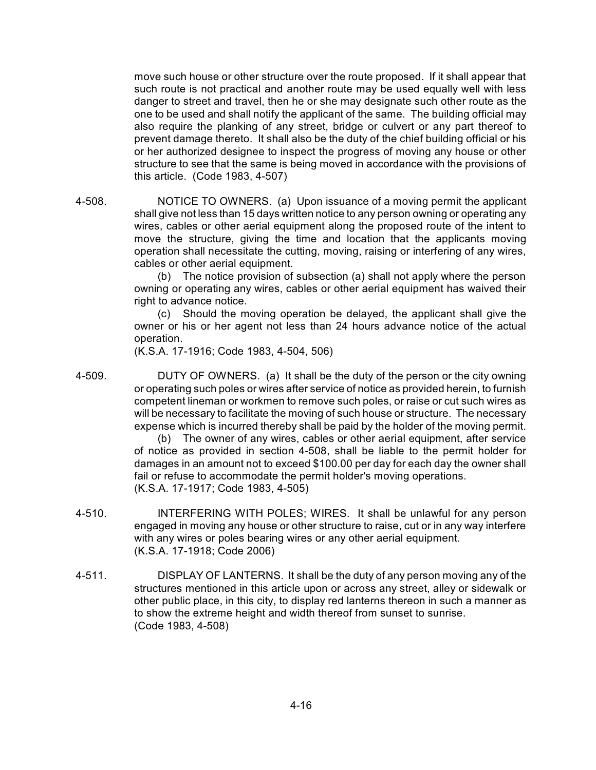move such house or other structure over the route proposed. If it shall appear that such route is not practical and another route may be used equally well with less danger to street and travel, then he or she may designate such other route as the one to be used and shall notify the applicant of the same. The building official may also require the planking of any street, bridge or culvert or any part thereof to prevent damage thereto. It shall also be the duty of the chief building official or his or her authorized designee to inspect the progress of moving any house or other structure to see that the same is being moved in accordance with the provisions of this article. (Code 1983, 4-507)

4-508. NOTICE TO OWNERS. (a) Upon issuance of a moving permit the applicant shall give not less than 15 days written notice to any person owning or operating any wires, cables or other aerial equipment along the proposed route of the intent to move the structure, giving the time and location that the applicants moving operation shall necessitate the cutting, moving, raising or interfering of any wires, cables or other aerial equipment.

(b) The notice provision of subsection (a) shall not apply where the person owning or operating any wires, cables or other aerial equipment has waived their right to advance notice.

(c) Should the moving operation be delayed, the applicant shall give the owner or his or her agent not less than 24 hours advance notice of the actual operation.

(K.S.A. 17-1916; Code 1983, 4-504, 506)

4-509. DUTY OF OWNERS. (a) It shall be the duty of the person or the city owning or operating such poles or wires after service of notice as provided herein, to furnish competent lineman or workmen to remove such poles, or raise or cut such wires as will be necessary to facilitate the moving of such house or structure. The necessary expense which is incurred thereby shall be paid by the holder of the moving permit.

> (b) The owner of any wires, cables or other aerial equipment, after service of notice as provided in section 4-508, shall be liable to the permit holder for damages in an amount not to exceed \$100.00 per day for each day the owner shall fail or refuse to accommodate the permit holder's moving operations. (K.S.A. 17-1917; Code 1983, 4-505)

- 4-510. INTERFERING WITH POLES; WIRES. It shall be unlawful for any person engaged in moving any house or other structure to raise, cut or in any way interfere with any wires or poles bearing wires or any other aerial equipment. (K.S.A. 17-1918; Code 2006)
- 4-511. DISPLAY OF LANTERNS. It shall be the duty of any person moving any of the structures mentioned in this article upon or across any street, alley or sidewalk or other public place, in this city, to display red lanterns thereon in such a manner as to show the extreme height and width thereof from sunset to sunrise. (Code 1983, 4-508)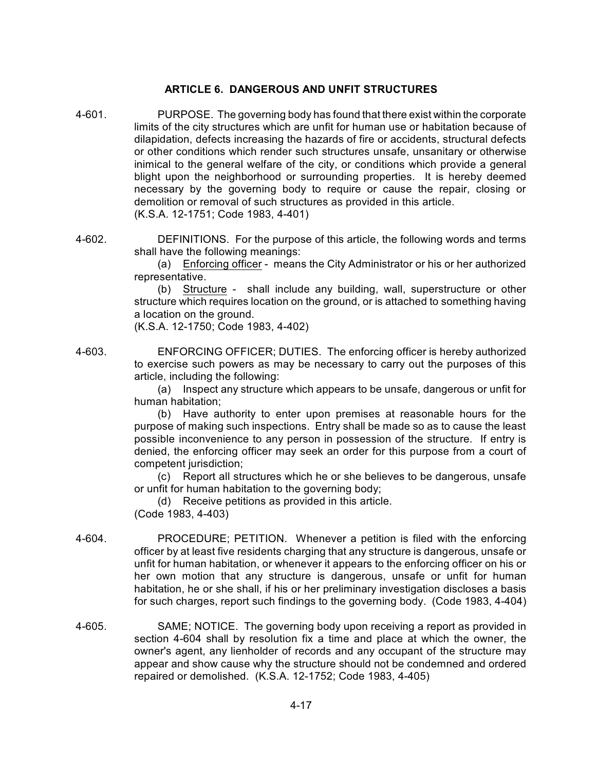# **ARTICLE 6. DANGEROUS AND UNFIT STRUCTURES**

- 4-601. PURPOSE. The governing body has found that there exist within the corporate limits of the city structures which are unfit for human use or habitation because of dilapidation, defects increasing the hazards of fire or accidents, structural defects or other conditions which render such structures unsafe, unsanitary or otherwise inimical to the general welfare of the city, or conditions which provide a general blight upon the neighborhood or surrounding properties. It is hereby deemed necessary by the governing body to require or cause the repair, closing or demolition or removal of such structures as provided in this article. (K.S.A. 12-1751; Code 1983, 4-401)
- 4-602. DEFINITIONS. For the purpose of this article, the following words and terms shall have the following meanings:

(a) Enforcing officer - means the City Administrator or his or her authorized representative.

(b) Structure - shall include any building, wall, superstructure or other structure which requires location on the ground, or is attached to something having a location on the ground.

(K.S.A. 12-1750; Code 1983, 4-402)

4-603. ENFORCING OFFICER; DUTIES. The enforcing officer is hereby authorized to exercise such powers as may be necessary to carry out the purposes of this article, including the following:

> (a) Inspect any structure which appears to be unsafe, dangerous or unfit for human habitation;

> (b) Have authority to enter upon premises at reasonable hours for the purpose of making such inspections. Entry shall be made so as to cause the least possible inconvenience to any person in possession of the structure. If entry is denied, the enforcing officer may seek an order for this purpose from a court of competent jurisdiction;

> (c) Report all structures which he or she believes to be dangerous, unsafe or unfit for human habitation to the governing body;

(d) Receive petitions as provided in this article. (Code 1983, 4-403)

- 4-604. PROCEDURE; PETITION. Whenever a petition is filed with the enforcing officer by at least five residents charging that any structure is dangerous, unsafe or unfit for human habitation, or whenever it appears to the enforcing officer on his or her own motion that any structure is dangerous, unsafe or unfit for human habitation, he or she shall, if his or her preliminary investigation discloses a basis for such charges, report such findings to the governing body. (Code 1983, 4-404)
- 4-605. SAME; NOTICE. The governing body upon receiving a report as provided in section 4-604 shall by resolution fix a time and place at which the owner, the owner's agent, any lienholder of records and any occupant of the structure may appear and show cause why the structure should not be condemned and ordered repaired or demolished. (K.S.A. 12-1752; Code 1983, 4-405)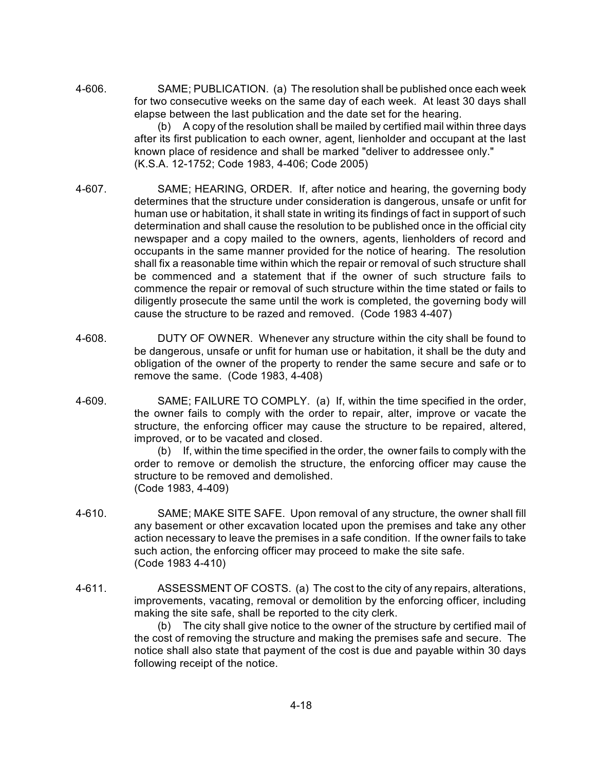4-606. SAME; PUBLICATION. (a) The resolution shall be published once each week for two consecutive weeks on the same day of each week. At least 30 days shall elapse between the last publication and the date set for the hearing.

(b) A copy of the resolution shall be mailed by certified mail within three days after its first publication to each owner, agent, lienholder and occupant at the last known place of residence and shall be marked "deliver to addressee only." (K.S.A. 12-1752; Code 1983, 4-406; Code 2005)

- 4-607. SAME; HEARING, ORDER. If, after notice and hearing, the governing body determines that the structure under consideration is dangerous, unsafe or unfit for human use or habitation, it shall state in writing its findings of fact in support of such determination and shall cause the resolution to be published once in the official city newspaper and a copy mailed to the owners, agents, lienholders of record and occupants in the same manner provided for the notice of hearing. The resolution shall fix a reasonable time within which the repair or removal of such structure shall be commenced and a statement that if the owner of such structure fails to commence the repair or removal of such structure within the time stated or fails to diligently prosecute the same until the work is completed, the governing body will cause the structure to be razed and removed. (Code 1983 4-407)
- 4-608. DUTY OF OWNER. Whenever any structure within the city shall be found to be dangerous, unsafe or unfit for human use or habitation, it shall be the duty and obligation of the owner of the property to render the same secure and safe or to remove the same. (Code 1983, 4-408)
- 4-609. SAME; FAILURE TO COMPLY. (a) If, within the time specified in the order, the owner fails to comply with the order to repair, alter, improve or vacate the structure, the enforcing officer may cause the structure to be repaired, altered, improved, or to be vacated and closed.

(b) If, within the time specified in the order, the owner fails to comply with the order to remove or demolish the structure, the enforcing officer may cause the structure to be removed and demolished. (Code 1983, 4-409)

- 4-610. SAME; MAKE SITE SAFE. Upon removal of any structure, the owner shall fill any basement or other excavation located upon the premises and take any other action necessary to leave the premises in a safe condition. If the owner fails to take such action, the enforcing officer may proceed to make the site safe. (Code 1983 4-410)
- 4-611. ASSESSMENT OF COSTS. (a) The cost to the city of any repairs, alterations, improvements, vacating, removal or demolition by the enforcing officer, including making the site safe, shall be reported to the city clerk.

(b) The city shall give notice to the owner of the structure by certified mail of the cost of removing the structure and making the premises safe and secure. The notice shall also state that payment of the cost is due and payable within 30 days following receipt of the notice.